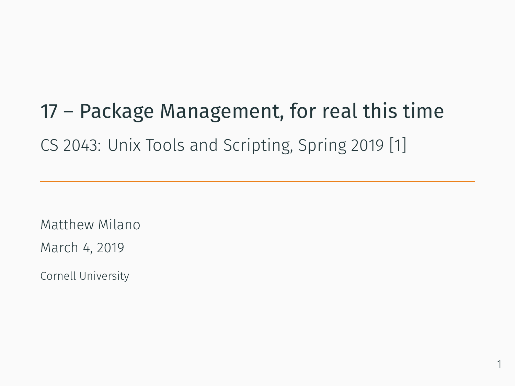# 17 – Package Management, for real this time

CS 2043: Unix Tools and Scripting, Spring 2019 [1]

Matthew Milano March 4, 2019 Cornell University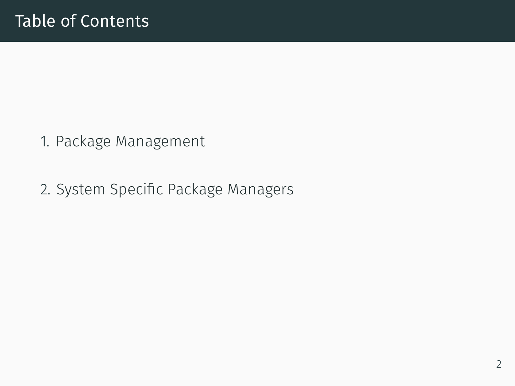## Table of Contents

- 1. Package Management
- 2. System Specific Package Managers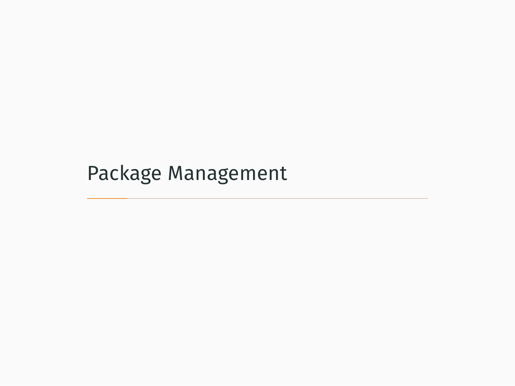Package Management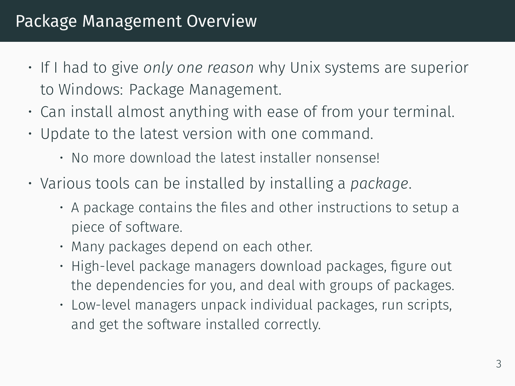- If I had to give *only one reason* why Unix systems are superior to Windows: Package Management.
- Can install almost anything with ease of from your terminal.
- Update to the latest version with one command.
	- No more download the latest installer nonsense!
- Various tools can be installed by installing a *package*.
	- A package contains the files and other instructions to setup a piece of software.
	- Many packages depend on each other.
	- High-level package managers download packages, figure out the dependencies for you, and deal with groups of packages.
	- Low-level managers unpack individual packages, run scripts, and get the software installed correctly.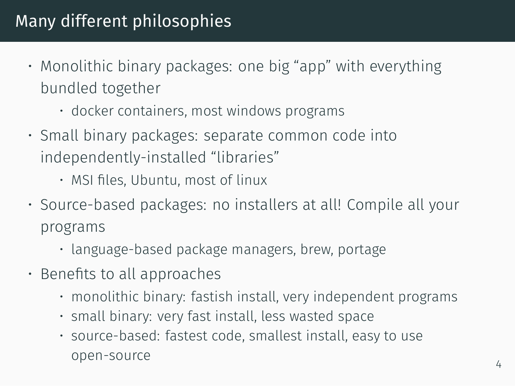## Many different philosophies

- Monolithic binary packages: one big "app" with everything bundled together
	- docker containers, most windows programs
- Small binary packages: separate common code into independently-installed "libraries"
	- MSI files, Ubuntu, most of linux
- Source-based packages: no installers at all! Compile all your programs
	- language-based package managers, brew, portage
- Benefits to all approaches
	- monolithic binary: fastish install, very independent programs
	- small binary: very fast install, less wasted space
	- source-based: fastest code, smallest install, easy to use open-source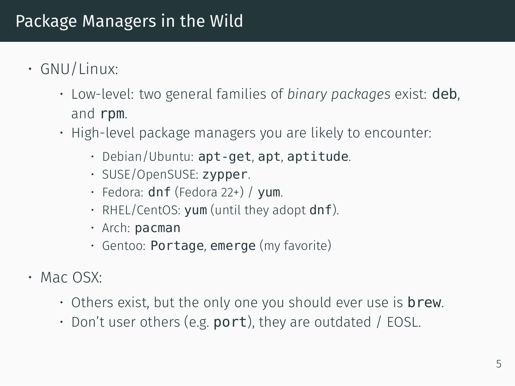### Package Managers in the Wild

- GNU/Linux:
	- Low-level: two general families of *binary packages* exist: deb, and rpm.
	- High-level package managers you are likely to encounter:
		- Debian/Ubuntu: apt-get, apt, aptitude.
		- SUSE/OpenSUSE: zypper.
		- Fedora: dnf (Fedora 22+) / yum.
		- RHEL/CentOS: yum (until they adopt dnf).
		- Arch: pacman
		- Gentoo: Portage, emerge (my favorite)
- Mac OSX:
	- $\cdot$  Others exist, but the only one you should ever use is **brew**.
	- Don't user others (e.g.  $port$ ), they are outdated / EOSL.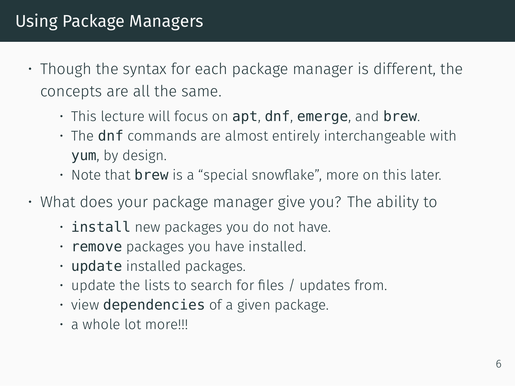- Though the syntax for each package manager is different, the concepts are all the same.
	- This lecture will focus on apt, dnf, emerge, and brew.
	- The dnf commands are almost entirely interchangeable with yum, by design.
	- $\cdot$  Note that **brew** is a "special snowflake", more on this later.
- What does your package manager give you? The ability to
	- install new packages you do not have.
	- remove packages you have installed.
	- update installed packages.
	- update the lists to search for files / updates from.
	- view dependencies of a given package.
	- a whole lot more!!!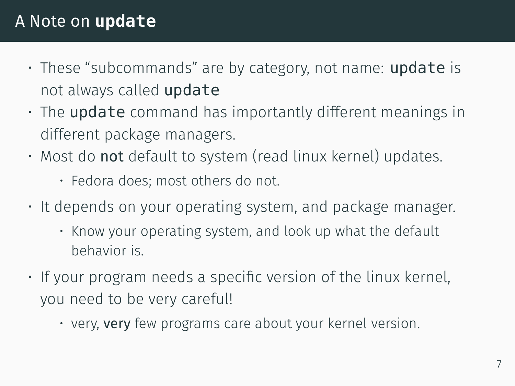#### A Note on **update**

- These "subcommands" are by category, not name: **update** is not always called update
- The update command has importantly different meanings in different package managers.
- Most do not default to system (read linux kernel) updates.
	- Fedora does; most others do not.
- It depends on your operating system, and package manager.
	- Know your operating system, and look up what the default behavior is.
- If your program needs a specific version of the linux kernel, you need to be very careful!
	- very, very few programs care about your kernel version.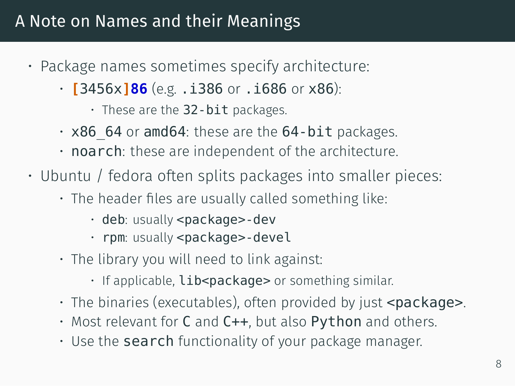#### A Note on Names and their Meanings

- Package names sometimes specify architecture:
	- **[**3456x**]86** (e.g. .i386 or .i686 or x86):
		- These are the  $32$ -bit packages.
	- $\cdot$  x86 64 or amd64: these are the 64-bit packages.
	- noarch: these are independent of the architecture.
- Ubuntu / fedora often splits packages into smaller pieces:
	- The header files are usually called something like:
		- deb: usually <package>-dev
		- rpm: usually <package>-devel
	- The library you will need to link against:
		- If applicable, **lib<package>** or something similar.
	- $\cdot$  The binaries (executables), often provided by just  $\leq$  package $\geq$ .
	- Most relevant for C and C++, but also Python and others.
	- $\cdot$  Use the **search** functionality of your package manager.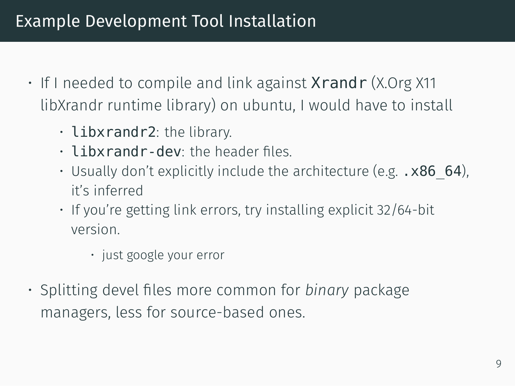### Example Development Tool Installation

- If I needed to compile and link against **Xrandr** (X.Org X11 libXrandr runtime library) on ubuntu, I would have to install
	- libxrandr2: the library.
	- libxrandr-dev: the header files.
	- Usually don't explicitly include the architecture (e.g.  $\cdot$  x86 64), it's inferred
	- If you're getting link errors, try installing explicit 32/64-bit version.
		- just google your error
- Splitting devel files more common for *binary* package managers, less for source-based ones.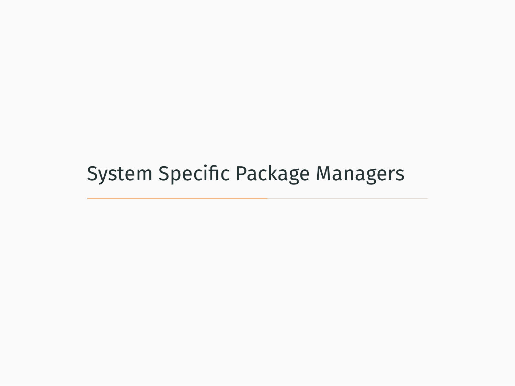System Specific Package Managers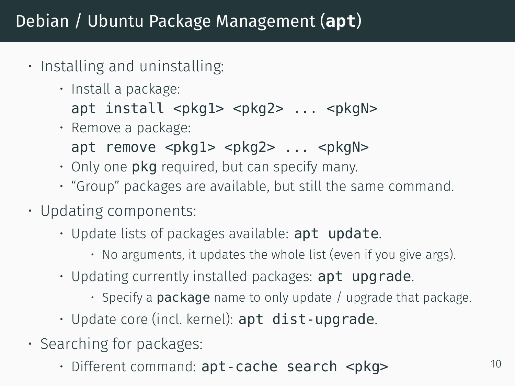## Debian / Ubuntu Package Management (**apt**)

- Installing and uninstalling:
	- Install a package: apt install <pkg1> <pkg2> ... <pkgN>
	- Remove a package: apt remove  $<$ pkg1>  $<$ pkg2> ...  $<$ pkgN>
	- $\cdot$  Only one **pkg** required, but can specify many.
	- "Group" packages are available, but still the same command.
- Updating components:
	- Update lists of packages available: apt update.
		- No arguments, it updates the whole list (even if you give args).
	- Updating currently installed packages: apt upgrade.
		- $\cdot$  Specify a **package** name to only update / upgrade that package.
	- $\cdot$  Update core (incl. kernel):  $apt$  dist-upgrade.
- Searching for packages:
	- Different command: apt-cache search <pkg> $10$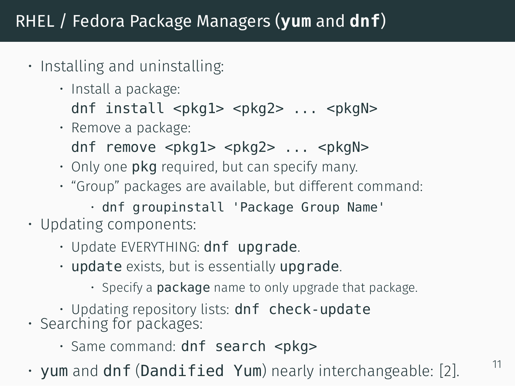#### RHEL / Fedora Package Managers (**yum** and **dnf**)

- Installing and uninstalling:
	- Install a package:
		- dnf install <pkg1> <pkg2> ... <pkgN>
	- Remove a package:
	- dnf remove <pkg1> <pkg2> ... <pkgN>
	- Only one pkg required, but can specify many.
	- "Group" packages are available, but different command:
		- dnf groupinstall 'Package Group Name'
- Updating components:
	- Update EVERYTHING: dnf upgrade.
	- update exists, but is essentially upgrade.
		- Specify a package name to only upgrade that package.
	- Updating repository lists: dnf check-update
- Searching for packages:
	- Same command: dnf search <pkg>

• yum and dnf (Dandified Yum) nearly interchangeable: [2].  $11$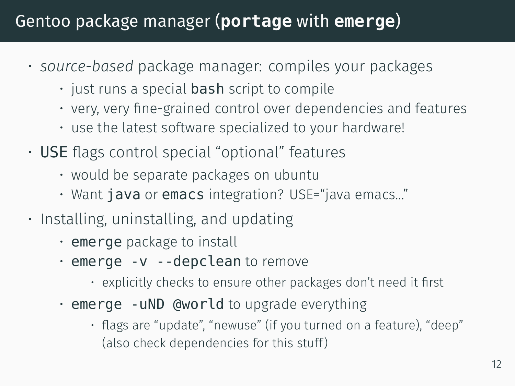## Gentoo package manager (**portage** with **emerge**)

- *source-based* package manager: compiles your packages
	- $\cdot$  just runs a special **bash** script to compile
	- very, very fine-grained control over dependencies and features
	- use the latest software specialized to your hardware!
- USE flags control special "optional" features
	- would be separate packages on ubuntu
	- Want java or emacs integration? USE="java emacs…"
- Installing, uninstalling, and updating
	- emerge package to install
	- emerge -v --depclean to remove
		- explicitly checks to ensure other packages don't need it first
	- $\cdot$  emerge -uND @world to upgrade everything
		- flags are "update", "newuse" (if you turned on a feature), "deep" (also check dependencies for this stuff )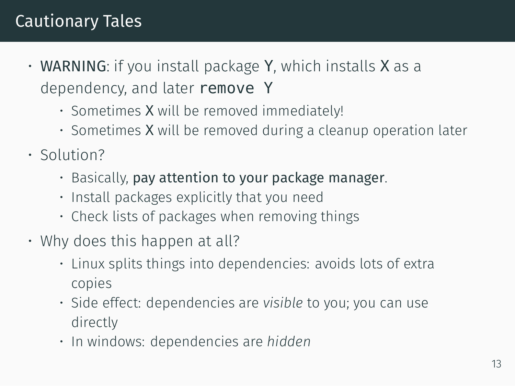## Cautionary Tales

- WARNING: if you install package Y, which installs X as a dependency, and later remove Y
	- Sometimes X will be removed immediately!
	- Sometimes X will be removed during a cleanup operation later
- Solution?
	- Basically, pay attention to your package manager.
	- Install packages explicitly that you need
	- Check lists of packages when removing things
- Why does this happen at all?
	- Linux splits things into dependencies: avoids lots of extra copies
	- Side effect: dependencies are *visible* to you; you can use directly
	- In windows: dependencies are *hidden*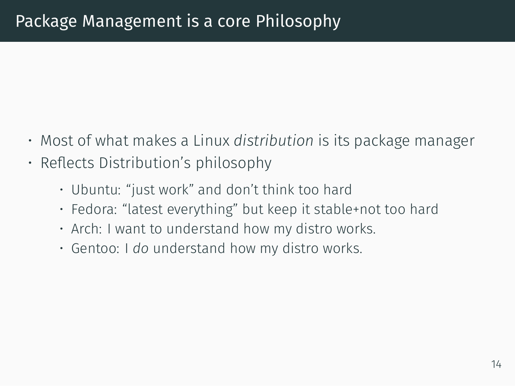- Most of what makes a Linux *distribution* is its package manager
- Reflects Distribution's philosophy
	- Ubuntu: "just work" and don't think too hard
	- Fedora: "latest everything" but keep it stable+not too hard
	- Arch: I want to understand how my distro works.
	- Gentoo: I *do* understand how my distro works.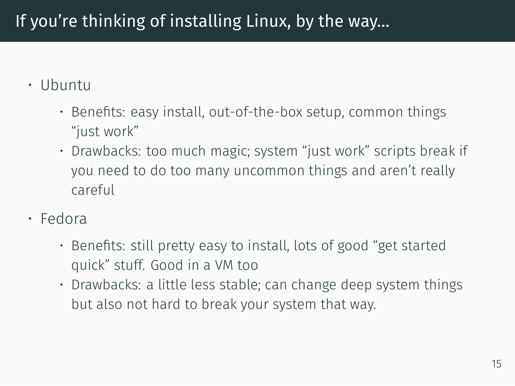## If you're thinking of installing Linux, by the way…

#### • Ubuntu

- Benefits: easy install, out-of-the-box setup, common things "just work"
- Drawbacks: too much magic; system "just work" scripts break if you need to do too many uncommon things and aren't really careful
- Fedora
	- Benefits: still pretty easy to install, lots of good "get started quick" stuff. Good in a VM too
	- Drawbacks: a little less stable; can change deep system things but also not hard to break your system that way.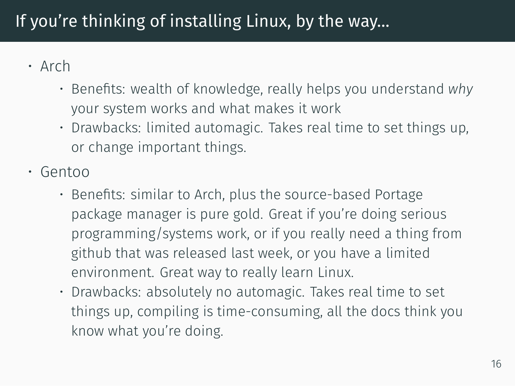## If you're thinking of installing Linux, by the way…

- Arch
	- Benefits: wealth of knowledge, really helps you understand *why* your system works and what makes it work
	- Drawbacks: limited automagic. Takes real time to set things up, or change important things.
- Gentoo
	- Benefits: similar to Arch, plus the source-based Portage package manager is pure gold. Great if you're doing serious programming/systems work, or if you really need a thing from github that was released last week, or you have a limited environment. Great way to really learn Linux.
	- Drawbacks: absolutely no automagic. Takes real time to set things up, compiling is time-consuming, all the docs think you know what you're doing.